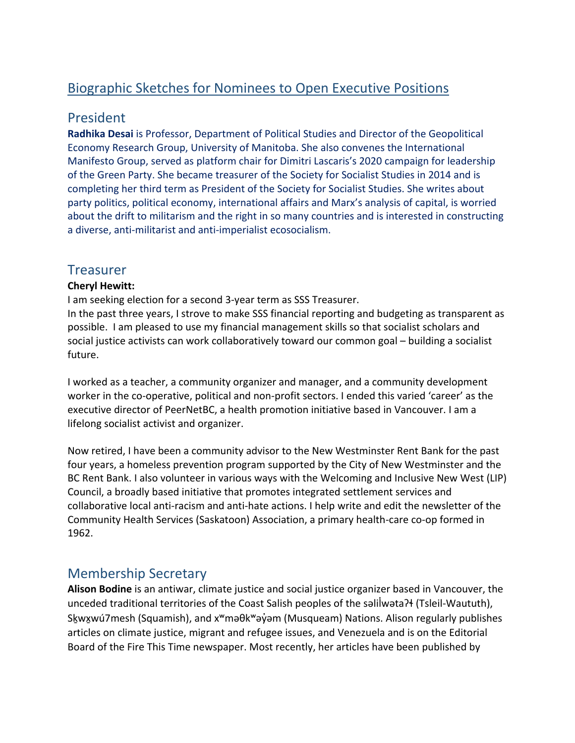# Biographic Sketches for Nominees to Open Executive Positions

### President

**Radhika Desai** is Professor, Department of Political Studies and Director of the Geopolitical Economy Research Group, University of Manitoba. She also convenes the International Manifesto Group, served as platform chair for Dimitri Lascaris's 2020 campaign for leadership of the Green Party. She became treasurer of the Society for Socialist Studies in 2014 and is completing her third term as President of the Society for Socialist Studies. She writes about party politics, political economy, international affairs and Marx's analysis of capital, is worried about the drift to militarism and the right in so many countries and is interested in constructing a diverse, anti-militarist and anti-imperialist ecosocialism.

## **Treasurer**

#### **Cheryl Hewitt:**

I am seeking election for a second 3-year term as SSS Treasurer.

In the past three years, I strove to make SSS financial reporting and budgeting as transparent as possible. I am pleased to use my financial management skills so that socialist scholars and social justice activists can work collaboratively toward our common goal – building a socialist future.

I worked as a teacher, a community organizer and manager, and a community development worker in the co-operative, political and non-profit sectors. I ended this varied 'career' as the executive director of PeerNetBC, a health promotion initiative based in Vancouver. I am a lifelong socialist activist and organizer.

Now retired, I have been a community advisor to the New Westminster Rent Bank for the past four years, a homeless prevention program supported by the City of New Westminster and the BC Rent Bank. I also volunteer in various ways with the Welcoming and Inclusive New West (LIP) Council, a broadly based initiative that promotes integrated settlement services and collaborative local anti-racism and anti-hate actions. I help write and edit the newsletter of the Community Health Services (Saskatoon) Association, a primary health-care co-op formed in 1962.

### Membership Secretary

**Alison Bodine** is an antiwar, climate justice and social justice organizer based in Vancouver, the unceded traditional territories of the Coast Salish peoples of the salilwata?+ (Tsleil-Waututh), Skwxwú7mesh (Squamish), and x<sup>w</sup>maθk<sup>w</sup>ay̓am (Musqueam) Nations. Alison regularly publishes articles on climate justice, migrant and refugee issues, and Venezuela and is on the Editorial Board of the Fire This Time newspaper. Most recently, her articles have been published by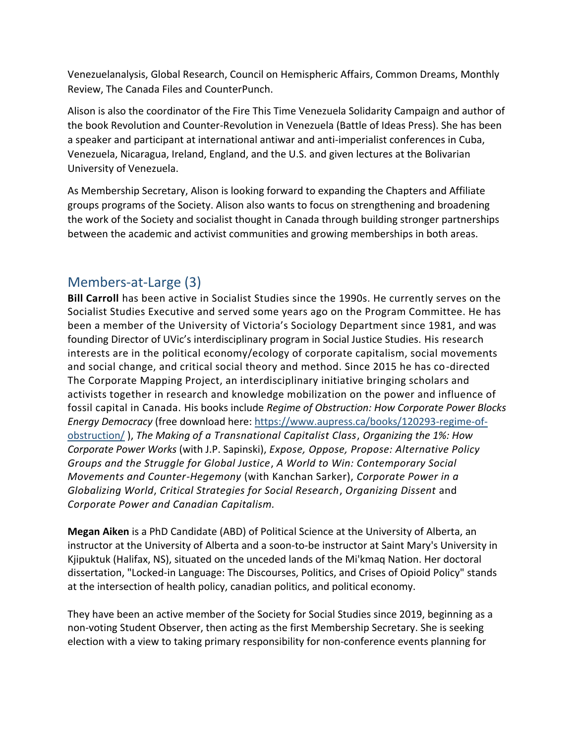Venezuelanalysis, Global Research, Council on Hemispheric Affairs, Common Dreams, Monthly Review, The Canada Files and CounterPunch.

Alison is also the coordinator of the Fire This Time Venezuela Solidarity Campaign and author of the book Revolution and Counter-Revolution in Venezuela (Battle of Ideas Press). She has been a speaker and participant at international antiwar and anti-imperialist conferences in Cuba, Venezuela, Nicaragua, Ireland, England, and the U.S. and given lectures at the Bolivarian University of Venezuela.

As Membership Secretary, Alison is looking forward to expanding the Chapters and Affiliate groups programs of the Society. Alison also wants to focus on strengthening and broadening the work of the Society and socialist thought in Canada through building stronger partnerships between the academic and activist communities and growing memberships in both areas.

## Members-at-Large (3)

**Bill Carroll** has been active in Socialist Studies since the 1990s. He currently serves on the Socialist Studies Executive and served some years ago on the Program Committee. He has been a member of the University of Victoria's Sociology Department since 1981, and was founding Director of UVic's interdisciplinary program in Social Justice Studies. His research interests are in the political economy/ecology of corporate capitalism, social movements and social change, and critical social theory and method. Since 2015 he has co-directed The Corporate Mapping Project, an interdisciplinary initiative bringing scholars and activists together in research and knowledge mobilization on the power and influence of fossil capital in Canada. His books include *Regime of Obstruction: How Corporate Power Blocks Energy Democracy* (free download here: [https://www.aupress.ca/books/120293-regime-of](https://www.aupress.ca/books/120293-regime-of-obstruction/)[obstruction/](https://www.aupress.ca/books/120293-regime-of-obstruction/) ), *The Making of a Transnational Capitalist Class*, *Organizing the 1%: How Corporate Power Works* (with J.P. Sapinski), *Expose, Oppose, Propose: Alternative Policy Groups and the Struggle for Global Justice*, *A World to Win: Contemporary Social Movements and Counter-Hegemony* (with Kanchan Sarker), *Corporate Power in a Globalizing World*, *Critical Strategies for Social Research*, *Organizing Dissent* and *Corporate Power and Canadian Capitalism.*

**Megan Aiken** is a PhD Candidate (ABD) of Political Science at the University of Alberta, an instructor at the University of Alberta and a soon-to-be instructor at Saint Mary's University in Kjipuktuk (Halifax, NS), situated on the unceded lands of the Mi'kmaq Nation. Her doctoral dissertation, "Locked-in Language: The Discourses, Politics, and Crises of Opioid Policy" stands at the intersection of health policy, canadian politics, and political economy.

They have been an active member of the Society for Social Studies since 2019, beginning as a non-voting Student Observer, then acting as the first Membership Secretary. She is seeking election with a view to taking primary responsibility for non-conference events planning for